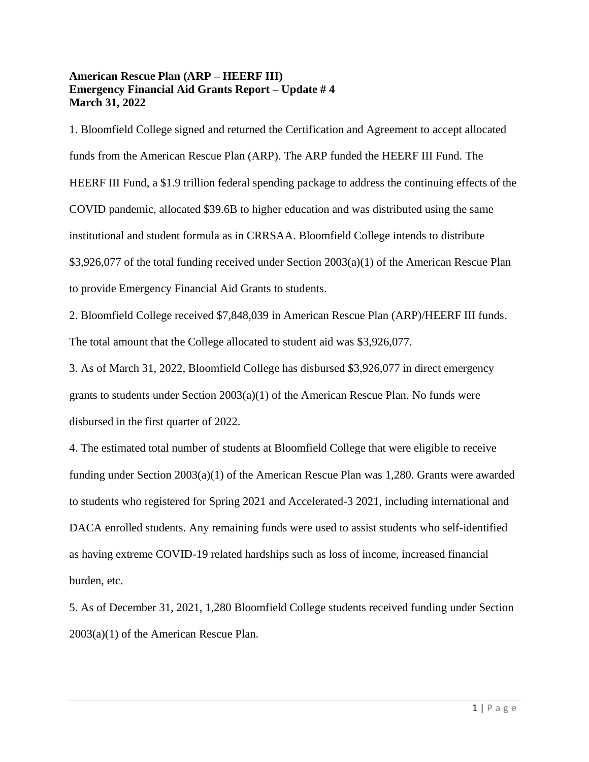## **American Rescue Plan (ARP – HEERF III) Emergency Financial Aid Grants Report – Update # 4 March 31, 2022**

1. Bloomfield College signed and returned the Certification and Agreement to accept allocated funds from the American Rescue Plan (ARP). The ARP funded the HEERF III Fund. The HEERF III Fund, a \$1.9 trillion federal spending package to address the continuing effects of the COVID pandemic, allocated \$39.6B to higher education and was distributed using the same institutional and student formula as in CRRSAA. Bloomfield College intends to distribute \$3,926,077 of the total funding received under Section 2003(a)(1) of the American Rescue Plan to provide Emergency Financial Aid Grants to students.

2. Bloomfield College received \$7,848,039 in American Rescue Plan (ARP)/HEERF III funds. The total amount that the College allocated to student aid was \$3,926,077.

3. As of March 31, 2022, Bloomfield College has disbursed \$3,926,077 in direct emergency grants to students under Section  $2003(a)(1)$  of the American Rescue Plan. No funds were disbursed in the first quarter of 2022.

4. The estimated total number of students at Bloomfield College that were eligible to receive funding under Section 2003(a)(1) of the American Rescue Plan was 1,280. Grants were awarded to students who registered for Spring 2021 and Accelerated-3 2021, including international and DACA enrolled students. Any remaining funds were used to assist students who self-identified as having extreme COVID-19 related hardships such as loss of income, increased financial burden, etc.

5. As of December 31, 2021, 1,280 Bloomfield College students received funding under Section 2003(a)(1) of the American Rescue Plan.